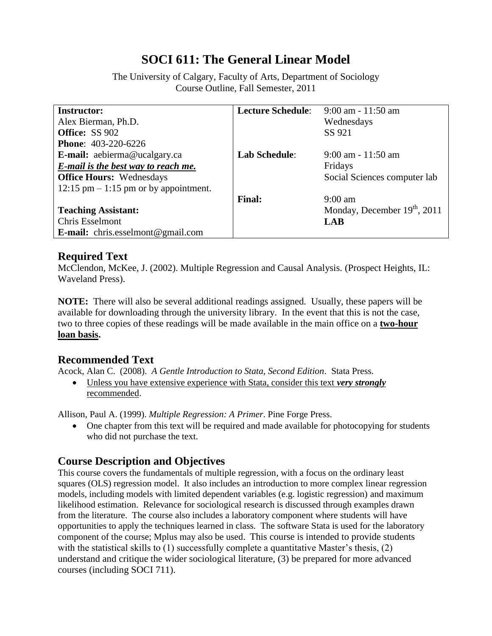# **SOCI 611: The General Linear Model**

The University of Calgary, Faculty of Arts, Department of Sociology Course Outline, Fall Semester, 2011

| <b>Instructor:</b>                         | <b>Lecture Schedule:</b> | $9:00$ am - 11:50 am                     |
|--------------------------------------------|--------------------------|------------------------------------------|
| Alex Bierman, Ph.D.                        |                          | Wednesdays                               |
| <b>Office: SS 902</b>                      |                          | SS 921                                   |
| <b>Phone: 403-220-6226</b>                 |                          |                                          |
| E-mail: aebierma@ucalgary.ca               | <b>Lab Schedule:</b>     | $9:00$ am - 11:50 am                     |
| <b>E-mail is the best way to reach me.</b> |                          | Fridays                                  |
| <b>Office Hours:</b> Wednesdays            |                          | Social Sciences computer lab             |
| $12:15$ pm $-1:15$ pm or by appointment.   |                          |                                          |
|                                            | <b>Final:</b>            | $9:00$ am                                |
| <b>Teaching Assistant:</b>                 |                          | Monday, December 19 <sup>th</sup> , 2011 |
| Chris Esselmont                            |                          | <b>LAB</b>                               |
| <b>E-mail:</b> chris.esselmont@gmail.com   |                          |                                          |

### **Required Text**

McClendon, McKee, J. (2002). Multiple Regression and Causal Analysis. (Prospect Heights, IL: Waveland Press).

**NOTE:** There will also be several additional readings assigned. Usually, these papers will be available for downloading through the university library. In the event that this is not the case, two to three copies of these readings will be made available in the main office on a **two-hour loan basis.**

## **Recommended Text**

Acock, Alan C. (2008). *A Gentle Introduction to Stata, Second Edition*. Stata Press.

 Unless you have extensive experience with Stata, consider this text *very strongly* recommended.

Allison, Paul A. (1999). *Multiple Regression: A Primer*. Pine Forge Press.

• One chapter from this text will be required and made available for photocopying for students who did not purchase the text.

## **Course Description and Objectives**

This course covers the fundamentals of multiple regression, with a focus on the ordinary least squares (OLS) regression model. It also includes an introduction to more complex linear regression models, including models with limited dependent variables (e.g. logistic regression) and maximum likelihood estimation. Relevance for sociological research is discussed through examples drawn from the literature. The course also includes a laboratory component where students will have opportunities to apply the techniques learned in class. The software Stata is used for the laboratory component of the course; Mplus may also be used. This course is intended to provide students with the statistical skills to (1) successfully complete a quantitative Master's thesis, (2) understand and critique the wider sociological literature, (3) be prepared for more advanced courses (including SOCI 711).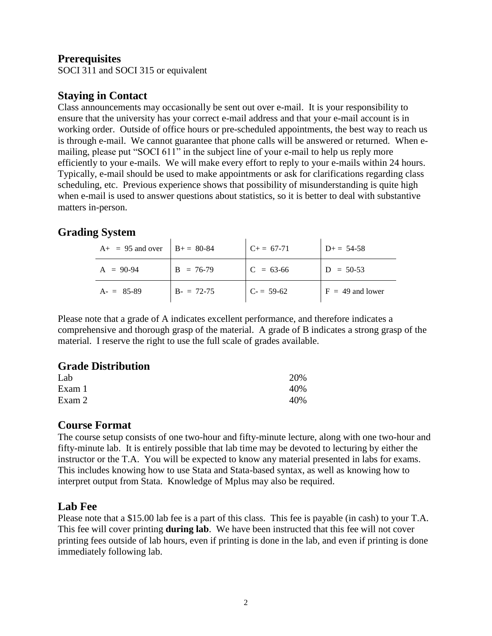## **Prerequisites**

SOCI 311 and SOCI 315 or equivalent

## **Staying in Contact**

Class announcements may occasionally be sent out over e-mail. It is your responsibility to ensure that the university has your correct e-mail address and that your e-mail account is in working order. Outside of office hours or pre-scheduled appointments, the best way to reach us is through e-mail. We cannot guarantee that phone calls will be answered or returned. When emailing, please put "SOCI 611" in the subject line of your e-mail to help us reply more efficiently to your e-mails. We will make every effort to reply to your e-mails within 24 hours. Typically, e-mail should be used to make appointments or ask for clarifications regarding class scheduling, etc. Previous experience shows that possibility of misunderstanding is quite high when e-mail is used to answer questions about statistics, so it is better to deal with substantive matters in-person.

## **Grading System**

| $A+ = 95$ and over $ B+ = 80-84$ |             | $C+= 67-71$ | $D_{\pm} = 54-58$  |
|----------------------------------|-------------|-------------|--------------------|
| $A = 90-94$                      | $B = 76-79$ | $C = 63-66$ | $D = 50-53$        |
| $A = 85-89$                      | $B = 72-75$ | $C = 59-62$ | $F = 49$ and lower |

Please note that a grade of A indicates excellent performance, and therefore indicates a comprehensive and thorough grasp of the material. A grade of B indicates a strong grasp of the material. I reserve the right to use the full scale of grades available.

## **Grade Distribution**

| Lab    | 20% |
|--------|-----|
| Exam 1 | 40% |
| Exam 2 | 40% |

### **Course Format**

The course setup consists of one two-hour and fifty-minute lecture, along with one two-hour and fifty-minute lab. It is entirely possible that lab time may be devoted to lecturing by either the instructor or the T.A. You will be expected to know any material presented in labs for exams. This includes knowing how to use Stata and Stata-based syntax, as well as knowing how to interpret output from Stata. Knowledge of Mplus may also be required.

## **Lab Fee**

Please note that a \$15.00 lab fee is a part of this class. This fee is payable (in cash) to your T.A. This fee will cover printing **during lab**. We have been instructed that this fee will not cover printing fees outside of lab hours, even if printing is done in the lab, and even if printing is done immediately following lab.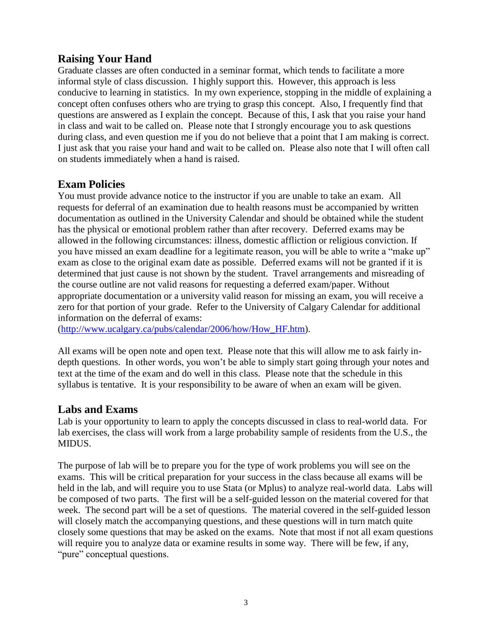## **Raising Your Hand**

Graduate classes are often conducted in a seminar format, which tends to facilitate a more informal style of class discussion. I highly support this. However, this approach is less conducive to learning in statistics. In my own experience, stopping in the middle of explaining a concept often confuses others who are trying to grasp this concept. Also, I frequently find that questions are answered as I explain the concept. Because of this, I ask that you raise your hand in class and wait to be called on. Please note that I strongly encourage you to ask questions during class, and even question me if you do not believe that a point that I am making is correct. I just ask that you raise your hand and wait to be called on. Please also note that I will often call on students immediately when a hand is raised.

## **Exam Policies**

You must provide advance notice to the instructor if you are unable to take an exam. All requests for deferral of an examination due to health reasons must be accompanied by written documentation as outlined in the University Calendar and should be obtained while the student has the physical or emotional problem rather than after recovery. Deferred exams may be allowed in the following circumstances: illness, domestic affliction or religious conviction. If you have missed an exam deadline for a legitimate reason, you will be able to write a "make up" exam as close to the original exam date as possible. Deferred exams will not be granted if it is determined that just cause is not shown by the student. Travel arrangements and misreading of the course outline are not valid reasons for requesting a deferred exam/paper. Without appropriate documentation or a university valid reason for missing an exam, you will receive a zero for that portion of your grade. Refer to the University of Calgary Calendar for additional information on the deferral of exams:

[\(http://www.ucalgary.ca/pubs/calendar/2006/how/How\\_HF.htm\)](http://www.ucalgary.ca/pubs/calendar/2006/how/How_HF.htm).

All exams will be open note and open text. Please note that this will allow me to ask fairly indepth questions. In other words, you won't be able to simply start going through your notes and text at the time of the exam and do well in this class. Please note that the schedule in this syllabus is tentative. It is your responsibility to be aware of when an exam will be given.

## **Labs and Exams**

Lab is your opportunity to learn to apply the concepts discussed in class to real-world data. For lab exercises, the class will work from a large probability sample of residents from the U.S., the MIDUS.

The purpose of lab will be to prepare you for the type of work problems you will see on the exams. This will be critical preparation for your success in the class because all exams will be held in the lab, and will require you to use Stata (or Mplus) to analyze real-world data. Labs will be composed of two parts. The first will be a self-guided lesson on the material covered for that week. The second part will be a set of questions. The material covered in the self-guided lesson will closely match the accompanying questions, and these questions will in turn match quite closely some questions that may be asked on the exams. Note that most if not all exam questions will require you to analyze data or examine results in some way. There will be few, if any, "pure" conceptual questions.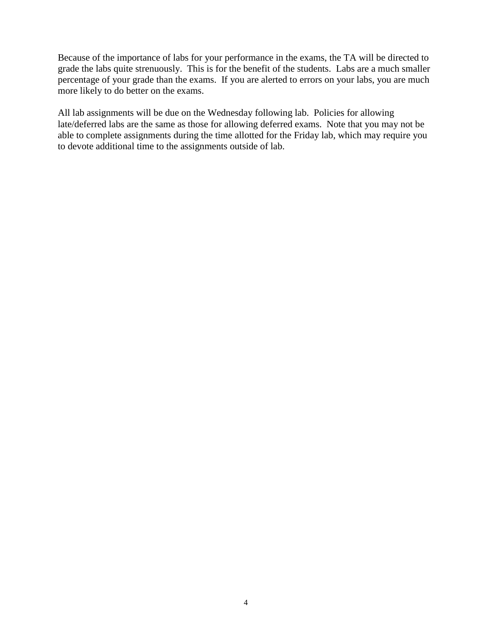Because of the importance of labs for your performance in the exams, the TA will be directed to grade the labs quite strenuously. This is for the benefit of the students. Labs are a much smaller percentage of your grade than the exams. If you are alerted to errors on your labs, you are much more likely to do better on the exams.

All lab assignments will be due on the Wednesday following lab. Policies for allowing late/deferred labs are the same as those for allowing deferred exams. Note that you may not be able to complete assignments during the time allotted for the Friday lab, which may require you to devote additional time to the assignments outside of lab.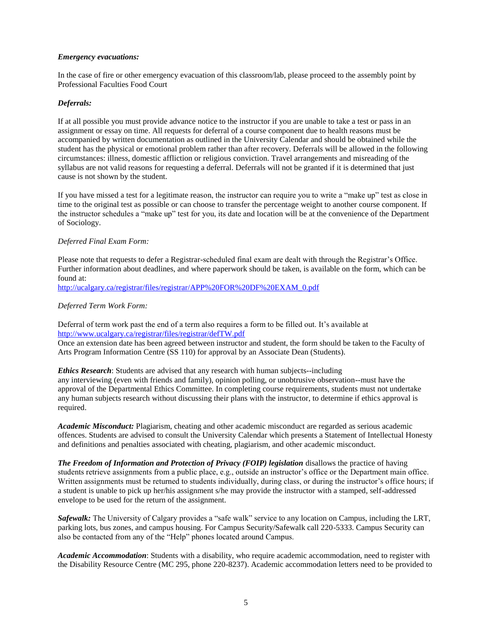#### *Emergency evacuations:*

In the case of fire or other emergency evacuation of this classroom/lab, please proceed to the assembly point by Professional Faculties Food Court

### *Deferrals:*

If at all possible you must provide advance notice to the instructor if you are unable to take a test or pass in an assignment or essay on time. All requests for deferral of a course component due to health reasons must be accompanied by written documentation as outlined in the University Calendar and should be obtained while the student has the physical or emotional problem rather than after recovery. Deferrals will be allowed in the following circumstances: illness, domestic affliction or religious conviction. Travel arrangements and misreading of the syllabus are not valid reasons for requesting a deferral. Deferrals will not be granted if it is determined that just cause is not shown by the student.

If you have missed a test for a legitimate reason, the instructor can require you to write a "make up" test as close in time to the original test as possible or can choose to transfer the percentage weight to another course component. If the instructor schedules a "make up" test for you, its date and location will be at the convenience of the Department of Sociology.

### *Deferred Final Exam Form:*

Please note that requests to defer a Registrar-scheduled final exam are dealt with through the Registrar's Office. Further information about deadlines, and where paperwork should be taken, is available on the form, which can be found at:

[http://ucalgary.ca/registrar/files/registrar/APP%20FOR%20DF%20EXAM\\_0.pdf](http://ucalgary.ca/registrar/files/registrar/APP%20FOR%20DF%20EXAM_0.pdf)

### *Deferred Term Work Form:*

Deferral of term work past the end of a term also requires a form to be filled out. It's available at <http://www.ucalgary.ca/registrar/files/registrar/defTW.pdf>

Once an extension date has been agreed between instructor and student, the form should be taken to the Faculty of Arts Program Information Centre (SS 110) for approval by an Associate Dean (Students).

*Ethics Research*: Students are advised that any research with human subjects--including any interviewing (even with friends and family), opinion polling, or unobtrusive observation--must have the approval of the Departmental Ethics Committee. In completing course requirements, students must not undertake any human subjects research without discussing their plans with the instructor, to determine if ethics approval is required.

*Academic Misconduct:* Plagiarism, cheating and other academic misconduct are regarded as serious academic offences. Students are advised to consult the University Calendar which presents a Statement of Intellectual Honesty and definitions and penalties associated with cheating, plagiarism, and other academic misconduct.

*The Freedom of Information and Protection of Privacy (FOIP) legislation* disallows the practice of having students retrieve assignments from a public place, e.g., outside an instructor's office or the Department main office. Written assignments must be returned to students individually, during class, or during the instructor's office hours; if a student is unable to pick up her/his assignment s/he may provide the instructor with a stamped, self-addressed envelope to be used for the return of the assignment.

*Safewalk:* The University of Calgary provides a "safe walk" service to any location on Campus, including the LRT, parking lots, bus zones, and campus housing. For Campus Security/Safewalk call 220-5333. Campus Security can also be contacted from any of the "Help" phones located around Campus.

*Academic Accommodation*: Students with a disability, who require academic accommodation, need to register with the Disability Resource Centre (MC 295, phone 220-8237). Academic accommodation letters need to be provided to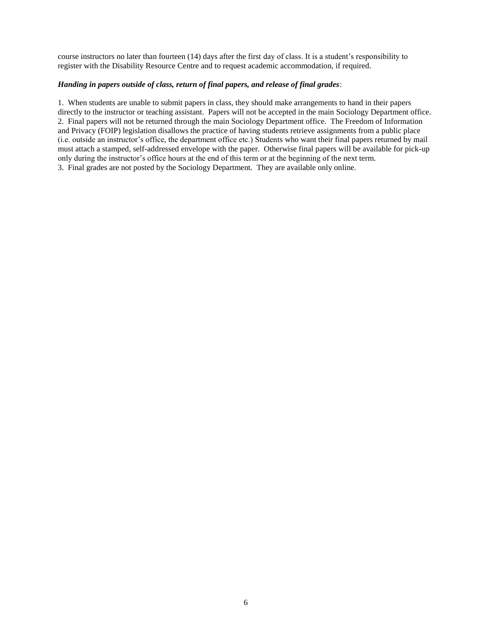course instructors no later than fourteen (14) days after the first day of class. It is a student's responsibility to register with the Disability Resource Centre and to request academic accommodation, if required.

### *Handing in papers outside of class, return of final papers, and release of final grades*:

1. When students are unable to submit papers in class, they should make arrangements to hand in their papers directly to the instructor or teaching assistant. Papers will not be accepted in the main Sociology Department office. 2. Final papers will not be returned through the main Sociology Department office. The Freedom of Information and Privacy (FOIP) legislation disallows the practice of having students retrieve assignments from a public place (i.e. outside an instructor's office, the department office etc.) Students who want their final papers returned by mail must attach a stamped, self-addressed envelope with the paper. Otherwise final papers will be available for pick-up only during the instructor's office hours at the end of this term or at the beginning of the next term. 3. Final grades are not posted by the Sociology Department. They are available only online.